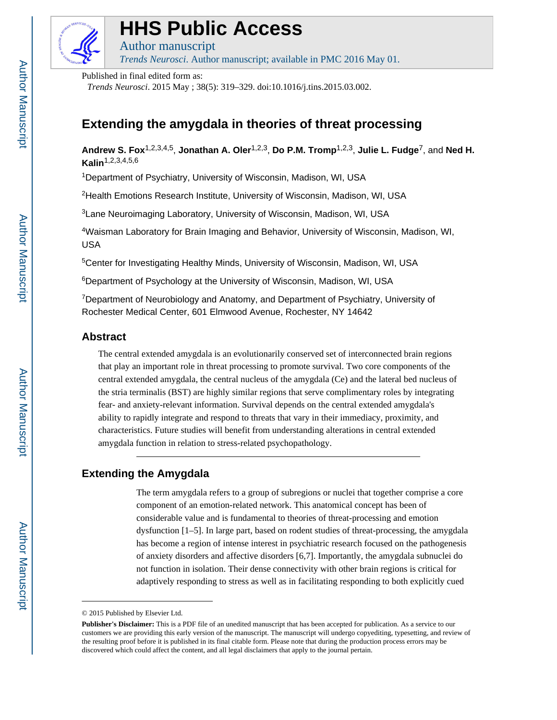

# **HHS Public Access**

Author manuscript

*Trends Neurosci*. Author manuscript; available in PMC 2016 May 01.

Published in final edited form as:

*Trends Neurosci*. 2015 May ; 38(5): 319–329. doi:10.1016/j.tins.2015.03.002.

# **Extending the amygdala in theories of threat processing**

**Andrew S. Fox**1,2,3,4,5, **Jonathan A. Oler**1,2,3, **Do P.M. Tromp**1,2,3, **Julie L. Fudge**7, and **Ned H. Kalin**1,2,3,4,5,6

<sup>1</sup>Department of Psychiatry, University of Wisconsin, Madison, WI, USA

<sup>2</sup>Health Emotions Research Institute, University of Wisconsin, Madison, WI, USA

<sup>3</sup>Lane Neuroimaging Laboratory, University of Wisconsin, Madison, WI, USA

<sup>4</sup>Waisman Laboratory for Brain Imaging and Behavior, University of Wisconsin, Madison, WI, USA

<sup>5</sup>Center for Investigating Healthy Minds, University of Wisconsin, Madison, WI, USA

<sup>6</sup>Department of Psychology at the University of Wisconsin, Madison, WI, USA

<sup>7</sup>Department of Neurobiology and Anatomy, and Department of Psychiatry, University of Rochester Medical Center, 601 Elmwood Avenue, Rochester, NY 14642

# **Abstract**

The central extended amygdala is an evolutionarily conserved set of interconnected brain regions that play an important role in threat processing to promote survival. Two core components of the central extended amygdala, the central nucleus of the amygdala (Ce) and the lateral bed nucleus of the stria terminalis (BST) are highly similar regions that serve complimentary roles by integrating fear- and anxiety-relevant information. Survival depends on the central extended amygdala's ability to rapidly integrate and respond to threats that vary in their immediacy, proximity, and characteristics. Future studies will benefit from understanding alterations in central extended amygdala function in relation to stress-related psychopathology.

# **Extending the Amygdala**

The term amygdala refers to a group of subregions or nuclei that together comprise a core component of an emotion-related network. This anatomical concept has been of considerable value and is fundamental to theories of threat-processing and emotion dysfunction [1–5]. In large part, based on rodent studies of threat-processing, the amygdala has become a region of intense interest in psychiatric research focused on the pathogenesis of anxiety disorders and affective disorders [6,7]. Importantly, the amygdala subnuclei do not function in isolation. Their dense connectivity with other brain regions is critical for adaptively responding to stress as well as in facilitating responding to both explicitly cued

<sup>© 2015</sup> Published by Elsevier Ltd.

**Publisher's Disclaimer:** This is a PDF file of an unedited manuscript that has been accepted for publication. As a service to our customers we are providing this early version of the manuscript. The manuscript will undergo copyediting, typesetting, and review of the resulting proof before it is published in its final citable form. Please note that during the production process errors may be discovered which could affect the content, and all legal disclaimers that apply to the journal pertain.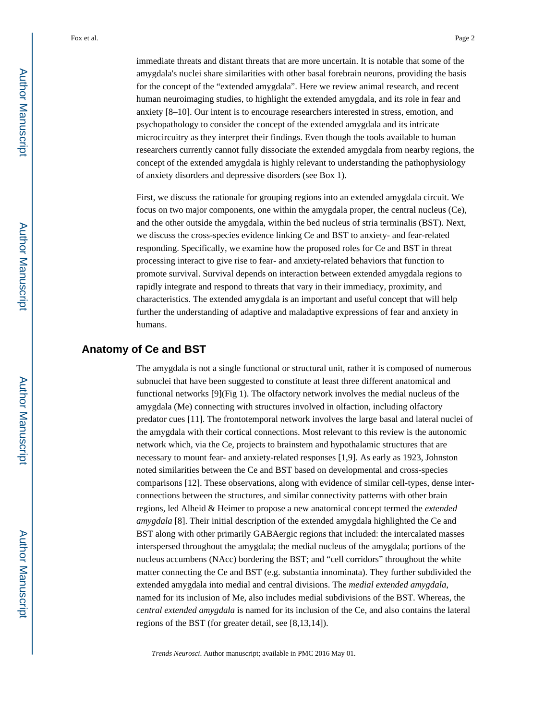immediate threats and distant threats that are more uncertain. It is notable that some of the amygdala's nuclei share similarities with other basal forebrain neurons, providing the basis for the concept of the "extended amygdala". Here we review animal research, and recent human neuroimaging studies, to highlight the extended amygdala, and its role in fear and anxiety [8–10]. Our intent is to encourage researchers interested in stress, emotion, and psychopathology to consider the concept of the extended amygdala and its intricate microcircuitry as they interpret their findings. Even though the tools available to human researchers currently cannot fully dissociate the extended amygdala from nearby regions, the concept of the extended amygdala is highly relevant to understanding the pathophysiology of anxiety disorders and depressive disorders (see Box 1).

First, we discuss the rationale for grouping regions into an extended amygdala circuit. We focus on two major components, one within the amygdala proper, the central nucleus (Ce), and the other outside the amygdala, within the bed nucleus of stria terminalis (BST). Next, we discuss the cross-species evidence linking Ce and BST to anxiety- and fear-related responding. Specifically, we examine how the proposed roles for Ce and BST in threat processing interact to give rise to fear- and anxiety-related behaviors that function to promote survival. Survival depends on interaction between extended amygdala regions to rapidly integrate and respond to threats that vary in their immediacy, proximity, and characteristics. The extended amygdala is an important and useful concept that will help further the understanding of adaptive and maladaptive expressions of fear and anxiety in humans.

# **Anatomy of Ce and BST**

The amygdala is not a single functional or structural unit, rather it is composed of numerous subnuclei that have been suggested to constitute at least three different anatomical and functional networks [9](Fig 1). The olfactory network involves the medial nucleus of the amygdala (Me) connecting with structures involved in olfaction, including olfactory predator cues [11]. The frontotemporal network involves the large basal and lateral nuclei of the amygdala with their cortical connections. Most relevant to this review is the autonomic network which, via the Ce, projects to brainstem and hypothalamic structures that are necessary to mount fear- and anxiety-related responses [1,9]. As early as 1923, Johnston noted similarities between the Ce and BST based on developmental and cross-species comparisons [12]. These observations, along with evidence of similar cell-types, dense interconnections between the structures, and similar connectivity patterns with other brain regions, led Alheid & Heimer to propose a new anatomical concept termed the *extended amygdala* [8]. Their initial description of the extended amygdala highlighted the Ce and BST along with other primarily GABAergic regions that included: the intercalated masses interspersed throughout the amygdala; the medial nucleus of the amygdala; portions of the nucleus accumbens (NAcc) bordering the BST; and "cell corridors" throughout the white matter connecting the Ce and BST (e.g. substantia innominata). They further subdivided the extended amygdala into medial and central divisions. The *medial extended amygdala*, named for its inclusion of Me, also includes medial subdivisions of the BST. Whereas, the *central extended amygdala* is named for its inclusion of the Ce, and also contains the lateral regions of the BST (for greater detail, see [8,13,14]).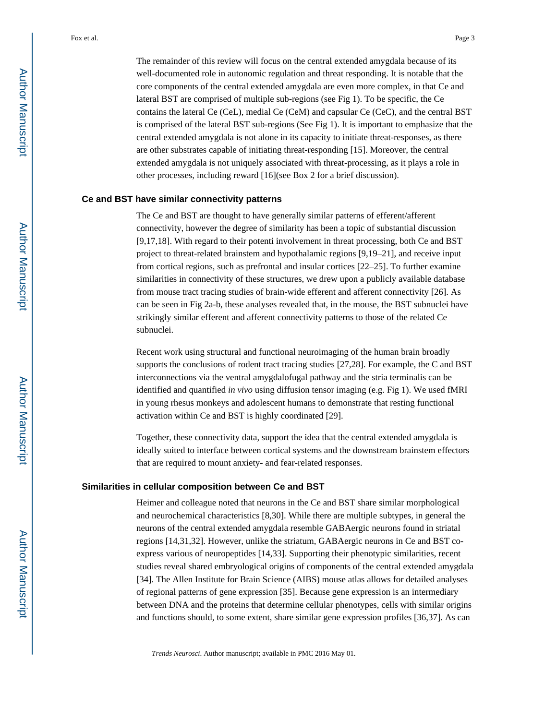The remainder of this review will focus on the central extended amygdala because of its well-documented role in autonomic regulation and threat responding. It is notable that the core components of the central extended amygdala are even more complex, in that Ce and lateral BST are comprised of multiple sub-regions (see Fig 1). To be specific, the Ce contains the lateral Ce (CeL), medial Ce (CeM) and capsular Ce (CeC), and the central BST is comprised of the lateral BST sub-regions (See Fig 1). It is important to emphasize that the central extended amygdala is not alone in its capacity to initiate threat-responses, as there are other substrates capable of initiating threat-responding [15]. Moreover, the central extended amygdala is not uniquely associated with threat-processing, as it plays a role in other processes, including reward [16](see Box 2 for a brief discussion).

### **Ce and BST have similar connectivity patterns**

The Ce and BST are thought to have generally similar patterns of efferent/afferent connectivity, however the degree of similarity has been a topic of substantial discussion [9,17,18]. With regard to their potenti involvement in threat processing, both Ce and BST project to threat-related brainstem and hypothalamic regions [9,19–21], and receive input from cortical regions, such as prefrontal and insular cortices [22–25]. To further examine similarities in connectivity of these structures, we drew upon a publicly available database from mouse tract tracing studies of brain-wide efferent and afferent connectivity [26]. As can be seen in Fig 2a-b, these analyses revealed that, in the mouse, the BST subnuclei have strikingly similar efferent and afferent connectivity patterns to those of the related Ce subnuclei.

Recent work using structural and functional neuroimaging of the human brain broadly supports the conclusions of rodent tract tracing studies [27,28]. For example, the C and BST interconnections via the ventral amygdalofugal pathway and the stria terminalis can be identified and quantified *in vivo* using diffusion tensor imaging (e.g. Fig 1). We used fMRI in young rhesus monkeys and adolescent humans to demonstrate that resting functional activation within Ce and BST is highly coordinated [29].

Together, these connectivity data, support the idea that the central extended amygdala is ideally suited to interface between cortical systems and the downstream brainstem effectors that are required to mount anxiety- and fear-related responses.

#### **Similarities in cellular composition between Ce and BST**

Heimer and colleague noted that neurons in the Ce and BST share similar morphological and neurochemical characteristics [8,30]. While there are multiple subtypes, in general the neurons of the central extended amygdala resemble GABAergic neurons found in striatal regions [14,31,32]. However, unlike the striatum, GABAergic neurons in Ce and BST coexpress various of neuropeptides [14,33]. Supporting their phenotypic similarities, recent studies reveal shared embryological origins of components of the central extended amygdala [34]. The Allen Institute for Brain Science (AIBS) mouse atlas allows for detailed analyses of regional patterns of gene expression [35]. Because gene expression is an intermediary between DNA and the proteins that determine cellular phenotypes, cells with similar origins and functions should, to some extent, share similar gene expression profiles [36,37]. As can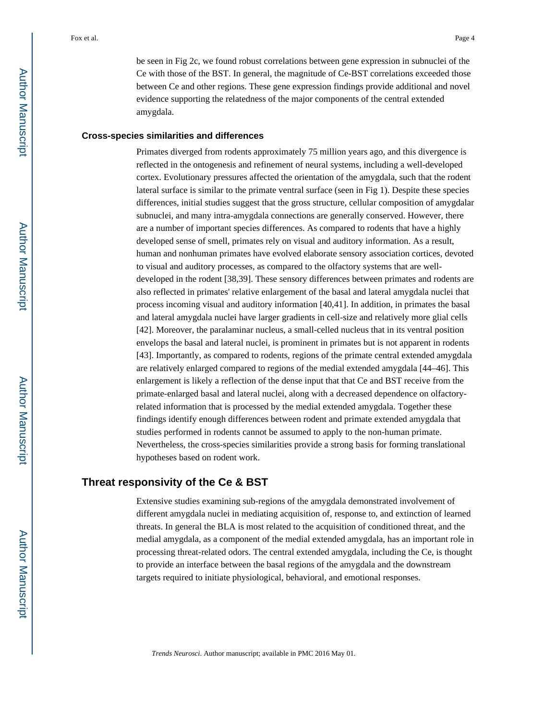be seen in Fig 2c, we found robust correlations between gene expression in subnuclei of the Ce with those of the BST. In general, the magnitude of Ce-BST correlations exceeded those between Ce and other regions. These gene expression findings provide additional and novel evidence supporting the relatedness of the major components of the central extended amygdala.

#### **Cross-species similarities and differences**

Primates diverged from rodents approximately 75 million years ago, and this divergence is reflected in the ontogenesis and refinement of neural systems, including a well-developed cortex. Evolutionary pressures affected the orientation of the amygdala, such that the rodent lateral surface is similar to the primate ventral surface (seen in Fig 1). Despite these species differences, initial studies suggest that the gross structure, cellular composition of amygdalar subnuclei, and many intra-amygdala connections are generally conserved. However, there are a number of important species differences. As compared to rodents that have a highly developed sense of smell, primates rely on visual and auditory information. As a result, human and nonhuman primates have evolved elaborate sensory association cortices, devoted to visual and auditory processes, as compared to the olfactory systems that are welldeveloped in the rodent [38,39]. These sensory differences between primates and rodents are also reflected in primates' relative enlargement of the basal and lateral amygdala nuclei that process incoming visual and auditory information [40,41]. In addition, in primates the basal and lateral amygdala nuclei have larger gradients in cell-size and relatively more glial cells [42]. Moreover, the paralaminar nucleus, a small-celled nucleus that in its ventral position envelops the basal and lateral nuclei, is prominent in primates but is not apparent in rodents [43]. Importantly, as compared to rodents, regions of the primate central extended amygdala are relatively enlarged compared to regions of the medial extended amygdala [44–46]. This enlargement is likely a reflection of the dense input that that Ce and BST receive from the primate-enlarged basal and lateral nuclei, along with a decreased dependence on olfactoryrelated information that is processed by the medial extended amygdala. Together these findings identify enough differences between rodent and primate extended amygdala that studies performed in rodents cannot be assumed to apply to the non-human primate. Nevertheless, the cross-species similarities provide a strong basis for forming translational hypotheses based on rodent work.

### **Threat responsivity of the Ce & BST**

Extensive studies examining sub-regions of the amygdala demonstrated involvement of different amygdala nuclei in mediating acquisition of, response to, and extinction of learned threats. In general the BLA is most related to the acquisition of conditioned threat, and the medial amygdala, as a component of the medial extended amygdala, has an important role in processing threat-related odors. The central extended amygdala, including the Ce, is thought to provide an interface between the basal regions of the amygdala and the downstream targets required to initiate physiological, behavioral, and emotional responses.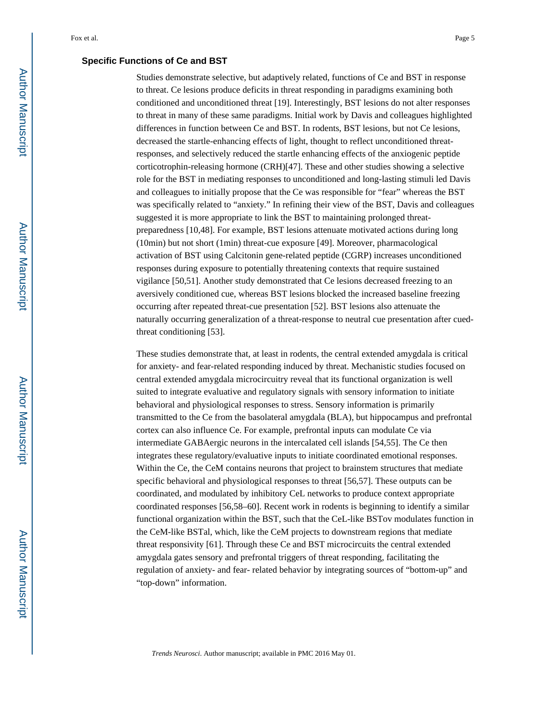### **Specific Functions of Ce and BST**

Studies demonstrate selective, but adaptively related, functions of Ce and BST in response to threat. Ce lesions produce deficits in threat responding in paradigms examining both conditioned and unconditioned threat [19]. Interestingly, BST lesions do not alter responses to threat in many of these same paradigms. Initial work by Davis and colleagues highlighted differences in function between Ce and BST. In rodents, BST lesions, but not Ce lesions, decreased the startle-enhancing effects of light, thought to reflect unconditioned threatresponses, and selectively reduced the startle enhancing effects of the anxiogenic peptide corticotrophin-releasing hormone (CRH)[47]. These and other studies showing a selective role for the BST in mediating responses to unconditioned and long-lasting stimuli led Davis and colleagues to initially propose that the Ce was responsible for "fear" whereas the BST was specifically related to "anxiety." In refining their view of the BST, Davis and colleagues suggested it is more appropriate to link the BST to maintaining prolonged threatpreparedness [10,48]. For example, BST lesions attenuate motivated actions during long (10min) but not short (1min) threat-cue exposure [49]. Moreover, pharmacological activation of BST using Calcitonin gene-related peptide (CGRP) increases unconditioned responses during exposure to potentially threatening contexts that require sustained vigilance [50,51]. Another study demonstrated that Ce lesions decreased freezing to an aversively conditioned cue, whereas BST lesions blocked the increased baseline freezing occurring after repeated threat-cue presentation [52]. BST lesions also attenuate the naturally occurring generalization of a threat-response to neutral cue presentation after cuedthreat conditioning [53].

These studies demonstrate that, at least in rodents, the central extended amygdala is critical for anxiety- and fear-related responding induced by threat. Mechanistic studies focused on central extended amygdala microcircuitry reveal that its functional organization is well suited to integrate evaluative and regulatory signals with sensory information to initiate behavioral and physiological responses to stress. Sensory information is primarily transmitted to the Ce from the basolateral amygdala (BLA), but hippocampus and prefrontal cortex can also influence Ce. For example, prefrontal inputs can modulate Ce via intermediate GABAergic neurons in the intercalated cell islands [54,55]. The Ce then integrates these regulatory/evaluative inputs to initiate coordinated emotional responses. Within the Ce, the CeM contains neurons that project to brainstem structures that mediate specific behavioral and physiological responses to threat [56,57]. These outputs can be coordinated, and modulated by inhibitory CeL networks to produce context appropriate coordinated responses [56,58–60]. Recent work in rodents is beginning to identify a similar functional organization within the BST, such that the CeL-like BSTov modulates function in the CeM-like BSTal, which, like the CeM projects to downstream regions that mediate threat responsivity [61]. Through these Ce and BST microcircuits the central extended amygdala gates sensory and prefrontal triggers of threat responding, facilitating the regulation of anxiety- and fear- related behavior by integrating sources of "bottom-up" and "top-down" information.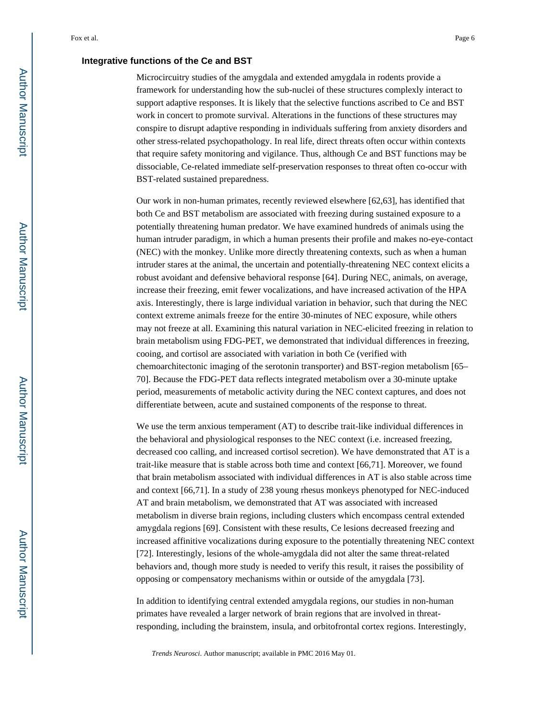### **Integrative functions of the Ce and BST**

Microcircuitry studies of the amygdala and extended amygdala in rodents provide a framework for understanding how the sub-nuclei of these structures complexly interact to support adaptive responses. It is likely that the selective functions ascribed to Ce and BST work in concert to promote survival. Alterations in the functions of these structures may conspire to disrupt adaptive responding in individuals suffering from anxiety disorders and other stress-related psychopathology. In real life, direct threats often occur within contexts that require safety monitoring and vigilance. Thus, although Ce and BST functions may be dissociable, Ce-related immediate self-preservation responses to threat often co-occur with BST-related sustained preparedness.

Our work in non-human primates, recently reviewed elsewhere [62,63], has identified that both Ce and BST metabolism are associated with freezing during sustained exposure to a potentially threatening human predator. We have examined hundreds of animals using the human intruder paradigm, in which a human presents their profile and makes no-eye-contact (NEC) with the monkey. Unlike more directly threatening contexts, such as when a human intruder stares at the animal, the uncertain and potentially-threatening NEC context elicits a robust avoidant and defensive behavioral response [64]. During NEC, animals, on average, increase their freezing, emit fewer vocalizations, and have increased activation of the HPA axis. Interestingly, there is large individual variation in behavior, such that during the NEC context extreme animals freeze for the entire 30-minutes of NEC exposure, while others may not freeze at all. Examining this natural variation in NEC-elicited freezing in relation to brain metabolism using FDG-PET, we demonstrated that individual differences in freezing, cooing, and cortisol are associated with variation in both Ce (verified with chemoarchitectonic imaging of the serotonin transporter) and BST-region metabolism [65– 70]. Because the FDG-PET data reflects integrated metabolism over a 30-minute uptake period, measurements of metabolic activity during the NEC context captures, and does not differentiate between, acute and sustained components of the response to threat.

We use the term anxious temperament (AT) to describe trait-like individual differences in the behavioral and physiological responses to the NEC context (i.e. increased freezing, decreased coo calling, and increased cortisol secretion). We have demonstrated that AT is a trait-like measure that is stable across both time and context [66,71]. Moreover, we found that brain metabolism associated with individual differences in AT is also stable across time and context [66,71]. In a study of 238 young rhesus monkeys phenotyped for NEC-induced AT and brain metabolism, we demonstrated that AT was associated with increased metabolism in diverse brain regions, including clusters which encompass central extended amygdala regions [69]. Consistent with these results, Ce lesions decreased freezing and increased affinitive vocalizations during exposure to the potentially threatening NEC context [72]. Interestingly, lesions of the whole-amygdala did not alter the same threat-related behaviors and, though more study is needed to verify this result, it raises the possibility of opposing or compensatory mechanisms within or outside of the amygdala [73].

In addition to identifying central extended amygdala regions, our studies in non-human primates have revealed a larger network of brain regions that are involved in threatresponding, including the brainstem, insula, and orbitofrontal cortex regions. Interestingly,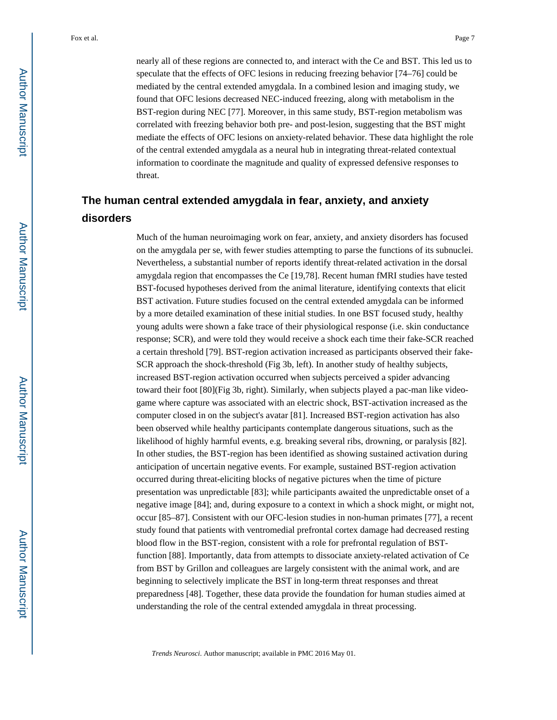nearly all of these regions are connected to, and interact with the Ce and BST. This led us to speculate that the effects of OFC lesions in reducing freezing behavior [74–76] could be mediated by the central extended amygdala. In a combined lesion and imaging study, we found that OFC lesions decreased NEC-induced freezing, along with metabolism in the BST-region during NEC [77]. Moreover, in this same study, BST-region metabolism was correlated with freezing behavior both pre- and post-lesion, suggesting that the BST might mediate the effects of OFC lesions on anxiety-related behavior. These data highlight the role of the central extended amygdala as a neural hub in integrating threat-related contextual information to coordinate the magnitude and quality of expressed defensive responses to threat.

# **The human central extended amygdala in fear, anxiety, and anxiety disorders**

Much of the human neuroimaging work on fear, anxiety, and anxiety disorders has focused on the amygdala per se, with fewer studies attempting to parse the functions of its subnuclei. Nevertheless, a substantial number of reports identify threat-related activation in the dorsal amygdala region that encompasses the Ce [19,78]. Recent human fMRI studies have tested BST-focused hypotheses derived from the animal literature, identifying contexts that elicit BST activation. Future studies focused on the central extended amygdala can be informed by a more detailed examination of these initial studies. In one BST focused study, healthy young adults were shown a fake trace of their physiological response (i.e. skin conductance response; SCR), and were told they would receive a shock each time their fake-SCR reached a certain threshold [79]. BST-region activation increased as participants observed their fake-SCR approach the shock-threshold (Fig 3b, left). In another study of healthy subjects, increased BST-region activation occurred when subjects perceived a spider advancing toward their foot [80](Fig 3b, right). Similarly, when subjects played a pac-man like videogame where capture was associated with an electric shock, BST-activation increased as the computer closed in on the subject's avatar [81]. Increased BST-region activation has also been observed while healthy participants contemplate dangerous situations, such as the likelihood of highly harmful events, e.g. breaking several ribs, drowning, or paralysis [82]. In other studies, the BST-region has been identified as showing sustained activation during anticipation of uncertain negative events. For example, sustained BST-region activation occurred during threat-eliciting blocks of negative pictures when the time of picture presentation was unpredictable [83]; while participants awaited the unpredictable onset of a negative image [84]; and, during exposure to a context in which a shock might, or might not, occur [85–87]. Consistent with our OFC-lesion studies in non-human primates [77], a recent study found that patients with ventromedial prefrontal cortex damage had decreased resting blood flow in the BST-region, consistent with a role for prefrontal regulation of BSTfunction [88]. Importantly, data from attempts to dissociate anxiety-related activation of Ce from BST by Grillon and colleagues are largely consistent with the animal work, and are beginning to selectively implicate the BST in long-term threat responses and threat preparedness [48]. Together, these data provide the foundation for human studies aimed at understanding the role of the central extended amygdala in threat processing.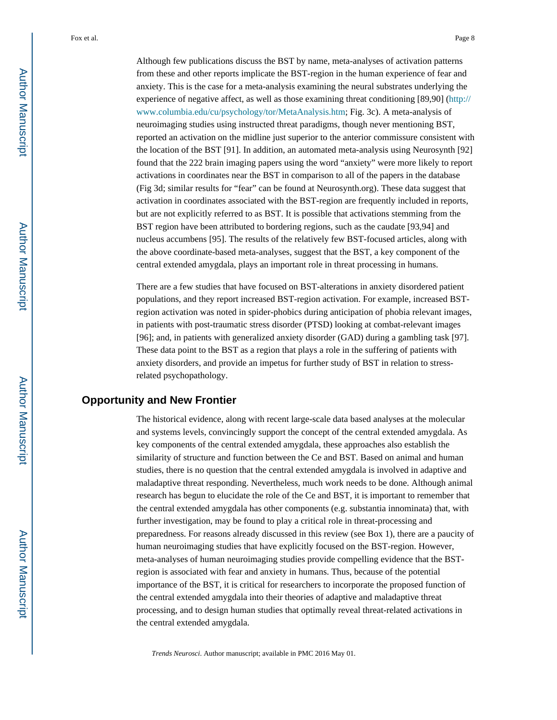Although few publications discuss the BST by name, meta-analyses of activation patterns from these and other reports implicate the BST-region in the human experience of fear and anxiety. This is the case for a meta-analysis examining the neural substrates underlying the experience of negative affect, as well as those examining threat conditioning [89,90] ([http://](http://www.columbia.edu/cu/psychology/tor/MetaAnalysis.htm) [www.columbia.edu/cu/psychology/tor/MetaAnalysis.htm;](http://www.columbia.edu/cu/psychology/tor/MetaAnalysis.htm) Fig. 3c). A meta-analysis of neuroimaging studies using instructed threat paradigms, though never mentioning BST, reported an activation on the midline just superior to the anterior commissure consistent with the location of the BST [91]. In addition, an automated meta-analysis using Neurosynth [92] found that the 222 brain imaging papers using the word "anxiety" were more likely to report activations in coordinates near the BST in comparison to all of the papers in the database (Fig 3d; similar results for "fear" can be found at Neurosynth.org). These data suggest that activation in coordinates associated with the BST-region are frequently included in reports, but are not explicitly referred to as BST. It is possible that activations stemming from the BST region have been attributed to bordering regions, such as the caudate [93,94] and nucleus accumbens [95]. The results of the relatively few BST-focused articles, along with the above coordinate-based meta-analyses, suggest that the BST, a key component of the central extended amygdala, plays an important role in threat processing in humans.

There are a few studies that have focused on BST-alterations in anxiety disordered patient populations, and they report increased BST-region activation. For example, increased BSTregion activation was noted in spider-phobics during anticipation of phobia relevant images, in patients with post-traumatic stress disorder (PTSD) looking at combat-relevant images [96]; and, in patients with generalized anxiety disorder (GAD) during a gambling task [97]. These data point to the BST as a region that plays a role in the suffering of patients with anxiety disorders, and provide an impetus for further study of BST in relation to stressrelated psychopathology.

## **Opportunity and New Frontier**

The historical evidence, along with recent large-scale data based analyses at the molecular and systems levels, convincingly support the concept of the central extended amygdala. As key components of the central extended amygdala, these approaches also establish the similarity of structure and function between the Ce and BST. Based on animal and human studies, there is no question that the central extended amygdala is involved in adaptive and maladaptive threat responding. Nevertheless, much work needs to be done. Although animal research has begun to elucidate the role of the Ce and BST, it is important to remember that the central extended amygdala has other components (e.g. substantia innominata) that, with further investigation, may be found to play a critical role in threat-processing and preparedness. For reasons already discussed in this review (see Box 1), there are a paucity of human neuroimaging studies that have explicitly focused on the BST-region. However, meta-analyses of human neuroimaging studies provide compelling evidence that the BSTregion is associated with fear and anxiety in humans. Thus, because of the potential importance of the BST, it is critical for researchers to incorporate the proposed function of the central extended amygdala into their theories of adaptive and maladaptive threat processing, and to design human studies that optimally reveal threat-related activations in the central extended amygdala.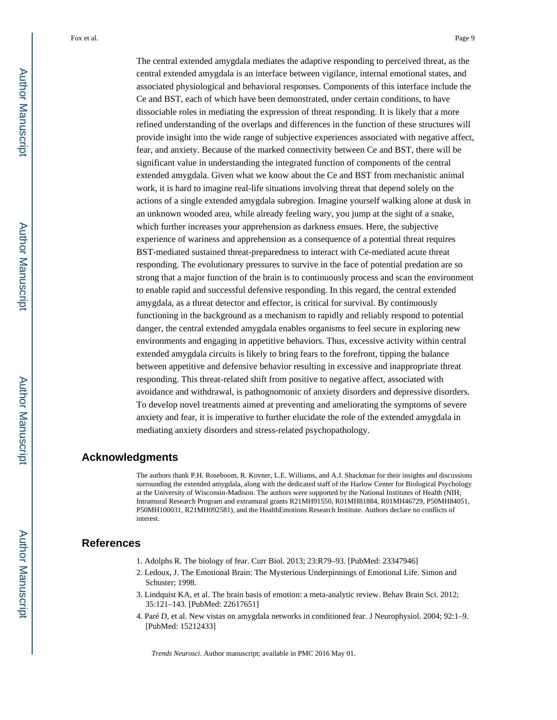The central extended amygdala mediates the adaptive responding to perceived threat, as the central extended amygdala is an interface between vigilance, internal emotional states, and associated physiological and behavioral responses. Components of this interface include the Ce and BST, each of which have been demonstrated, under certain conditions, to have dissociable roles in mediating the expression of threat responding. It is likely that a more refined understanding of the overlaps and differences in the function of these structures will provide insight into the wide range of subjective experiences associated with negative affect, fear, and anxiety. Because of the marked connectivity between Ce and BST, there will be significant value in understanding the integrated function of components of the central extended amygdala. Given what we know about the Ce and BST from mechanistic animal work, it is hard to imagine real-life situations involving threat that depend solely on the actions of a single extended amygdala subregion. Imagine yourself walking alone at dusk in an unknown wooded area, while already feeling wary, you jump at the sight of a snake, which further increases your apprehension as darkness ensues. Here, the subjective experience of wariness and apprehension as a consequence of a potential threat requires BST-mediated sustained threat-preparedness to interact with Ce-mediated acute threat responding. The evolutionary pressures to survive in the face of potential predation are so strong that a major function of the brain is to continuously process and scan the environment to enable rapid and successful defensive responding. In this regard, the central extended amygdala, as a threat detector and effector, is critical for survival. By continuously functioning in the background as a mechanism to rapidly and reliably respond to potential danger, the central extended amygdala enables organisms to feel secure in exploring new environments and engaging in appetitive behaviors. Thus, excessive activity within central extended amygdala circuits is likely to bring fears to the forefront, tipping the balance between appetitive and defensive behavior resulting in excessive and inappropriate threat responding. This threat-related shift from positive to negative affect, associated with avoidance and withdrawal, is pathognomonic of anxiety disorders and depressive disorders. To develop novel treatments aimed at preventing and ameliorating the symptoms of severe anxiety and fear, it is imperative to further elucidate the role of the extended amygdala in mediating anxiety disorders and stress-related psychopathology.

## **Acknowledgments**

The authors thank P.H. Roseboom, R. Kovner, L.E. Williams, and A.J. Shackman for their insights and discussions surrounding the extended amygdala, along with the dedicated staff of the Harlow Center for Biological Psychology at the University of Wisconsin-Madison. The authors were supported by the National Institutes of Health (NIH; Intramural Research Program and extramural grants R21MH91550, R01MH81884, R01MH46729, P50MH84051, P50MH100031, R21MH092581), and the HealthEmotions Research Institute. Authors declare no conflicts of interest.

### **References**

- 1. Adolphs R. The biology of fear. Curr Biol. 2013; 23:R79–93. [PubMed: 23347946]
- 2. Ledoux, J. The Emotional Brain: The Mysterious Underpinnings of Emotional Life. Simon and Schuster; 1998.
- 3. Lindquist KA, et al. The brain basis of emotion: a meta-analytic review. Behav Brain Sci. 2012; 35:121–143. [PubMed: 22617651]
- 4. Paré D, et al. New vistas on amygdala networks in conditioned fear. J Neurophysiol. 2004; 92:1–9. [PubMed: 15212433]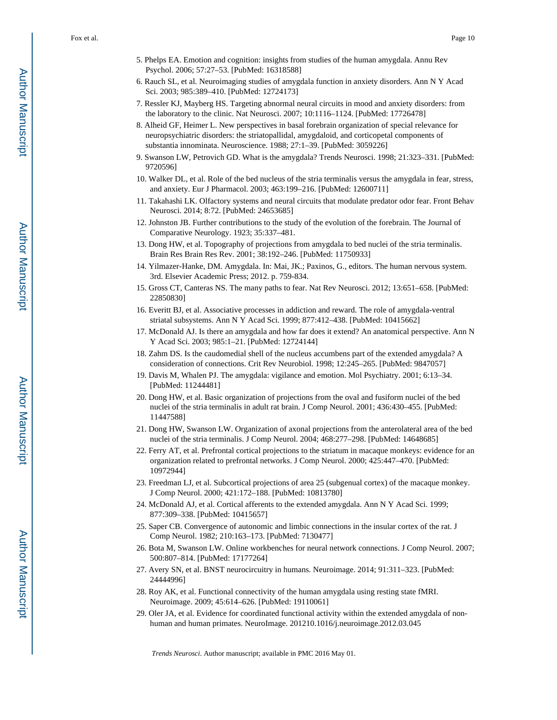- 5. Phelps EA. Emotion and cognition: insights from studies of the human amygdala. Annu Rev Psychol. 2006; 57:27–53. [PubMed: 16318588]
- 6. Rauch SL, et al. Neuroimaging studies of amygdala function in anxiety disorders. Ann N Y Acad Sci. 2003; 985:389–410. [PubMed: 12724173]
- 7. Ressler KJ, Mayberg HS. Targeting abnormal neural circuits in mood and anxiety disorders: from the laboratory to the clinic. Nat Neurosci. 2007; 10:1116–1124. [PubMed: 17726478]
- 8. Alheid GF, Heimer L. New perspectives in basal forebrain organization of special relevance for neuropsychiatric disorders: the striatopallidal, amygdaloid, and corticopetal components of substantia innominata. Neuroscience. 1988; 27:1–39. [PubMed: 3059226]
- 9. Swanson LW, Petrovich GD. What is the amygdala? Trends Neurosci. 1998; 21:323–331. [PubMed: 9720596]
- 10. Walker DL, et al. Role of the bed nucleus of the stria terminalis versus the amygdala in fear, stress, and anxiety. Eur J Pharmacol. 2003; 463:199–216. [PubMed: 12600711]
- 11. Takahashi LK. Olfactory systems and neural circuits that modulate predator odor fear. Front Behav Neurosci. 2014; 8:72. [PubMed: 24653685]
- 12. Johnston JB. Further contributions to the study of the evolution of the forebrain. The Journal of Comparative Neurology. 1923; 35:337–481.
- 13. Dong HW, et al. Topography of projections from amygdala to bed nuclei of the stria terminalis. Brain Res Brain Res Rev. 2001; 38:192–246. [PubMed: 11750933]
- 14. Yilmazer-Hanke, DM. Amygdala. In: Mai, JK.; Paxinos, G., editors. The human nervous system. 3rd. Elsevier Academic Press; 2012. p. 759-834.
- 15. Gross CT, Canteras NS. The many paths to fear. Nat Rev Neurosci. 2012; 13:651–658. [PubMed: 22850830]
- 16. Everitt BJ, et al. Associative processes in addiction and reward. The role of amygdala-ventral striatal subsystems. Ann N Y Acad Sci. 1999; 877:412–438. [PubMed: 10415662]
- 17. McDonald AJ. Is there an amygdala and how far does it extend? An anatomical perspective. Ann N Y Acad Sci. 2003; 985:1–21. [PubMed: 12724144]
- 18. Zahm DS. Is the caudomedial shell of the nucleus accumbens part of the extended amygdala? A consideration of connections. Crit Rev Neurobiol. 1998; 12:245–265. [PubMed: 9847057]
- 19. Davis M, Whalen PJ. The amygdala: vigilance and emotion. Mol Psychiatry. 2001; 6:13–34. [PubMed: 11244481]
- 20. Dong HW, et al. Basic organization of projections from the oval and fusiform nuclei of the bed nuclei of the stria terminalis in adult rat brain. J Comp Neurol. 2001; 436:430–455. [PubMed: 11447588]
- 21. Dong HW, Swanson LW. Organization of axonal projections from the anterolateral area of the bed nuclei of the stria terminalis. J Comp Neurol. 2004; 468:277–298. [PubMed: 14648685]
- 22. Ferry AT, et al. Prefrontal cortical projections to the striatum in macaque monkeys: evidence for an organization related to prefrontal networks. J Comp Neurol. 2000; 425:447–470. [PubMed: 10972944]
- 23. Freedman LJ, et al. Subcortical projections of area 25 (subgenual cortex) of the macaque monkey. J Comp Neurol. 2000; 421:172–188. [PubMed: 10813780]
- 24. McDonald AJ, et al. Cortical afferents to the extended amygdala. Ann N Y Acad Sci. 1999; 877:309–338. [PubMed: 10415657]
- 25. Saper CB. Convergence of autonomic and limbic connections in the insular cortex of the rat. J Comp Neurol. 1982; 210:163–173. [PubMed: 7130477]
- 26. Bota M, Swanson LW. Online workbenches for neural network connections. J Comp Neurol. 2007; 500:807–814. [PubMed: 17177264]
- 27. Avery SN, et al. BNST neurocircuitry in humans. Neuroimage. 2014; 91:311–323. [PubMed: 24444996]
- 28. Roy AK, et al. Functional connectivity of the human amygdala using resting state fMRI. Neuroimage. 2009; 45:614–626. [PubMed: 19110061]
- 29. Oler JA, et al. Evidence for coordinated functional activity within the extended amygdala of nonhuman and human primates. NeuroImage. 201210.1016/j.neuroimage.2012.03.045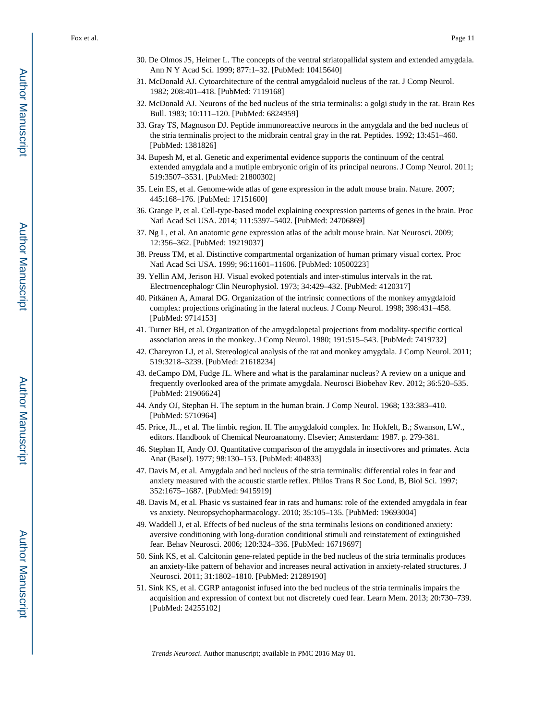- 30. De Olmos JS, Heimer L. The concepts of the ventral striatopallidal system and extended amygdala. Ann N Y Acad Sci. 1999; 877:1–32. [PubMed: 10415640]
- 31. McDonald AJ. Cytoarchitecture of the central amygdaloid nucleus of the rat. J Comp Neurol. 1982; 208:401–418. [PubMed: 7119168]
- 32. McDonald AJ. Neurons of the bed nucleus of the stria terminalis: a golgi study in the rat. Brain Res Bull. 1983; 10:111–120. [PubMed: 6824959]
- 33. Gray TS, Magnuson DJ. Peptide immunoreactive neurons in the amygdala and the bed nucleus of the stria terminalis project to the midbrain central gray in the rat. Peptides. 1992; 13:451–460. [PubMed: 1381826]
- 34. Bupesh M, et al. Genetic and experimental evidence supports the continuum of the central extended amygdala and a mutiple embryonic origin of its principal neurons. J Comp Neurol. 2011; 519:3507–3531. [PubMed: 21800302]
- 35. Lein ES, et al. Genome-wide atlas of gene expression in the adult mouse brain. Nature. 2007; 445:168–176. [PubMed: 17151600]
- 36. Grange P, et al. Cell-type-based model explaining coexpression patterns of genes in the brain. Proc Natl Acad Sci USA. 2014; 111:5397–5402. [PubMed: 24706869]
- 37. Ng L, et al. An anatomic gene expression atlas of the adult mouse brain. Nat Neurosci. 2009; 12:356–362. [PubMed: 19219037]
- 38. Preuss TM, et al. Distinctive compartmental organization of human primary visual cortex. Proc Natl Acad Sci USA. 1999; 96:11601–11606. [PubMed: 10500223]
- 39. Yellin AM, Jerison HJ. Visual evoked potentials and inter-stimulus intervals in the rat. Electroencephalogr Clin Neurophysiol. 1973; 34:429–432. [PubMed: 4120317]
- 40. Pitkänen A, Amaral DG. Organization of the intrinsic connections of the monkey amygdaloid complex: projections originating in the lateral nucleus. J Comp Neurol. 1998; 398:431–458. [PubMed: 9714153]
- 41. Turner BH, et al. Organization of the amygdalopetal projections from modality-specific cortical association areas in the monkey. J Comp Neurol. 1980; 191:515–543. [PubMed: 7419732]
- 42. Chareyron LJ, et al. Stereological analysis of the rat and monkey amygdala. J Comp Neurol. 2011; 519:3218–3239. [PubMed: 21618234]
- 43. deCampo DM, Fudge JL. Where and what is the paralaminar nucleus? A review on a unique and frequently overlooked area of the primate amygdala. Neurosci Biobehav Rev. 2012; 36:520–535. [PubMed: 21906624]
- 44. Andy OJ, Stephan H. The septum in the human brain. J Comp Neurol. 1968; 133:383–410. [PubMed: 5710964]
- 45. Price, JL., et al. The limbic region. II. The amygdaloid complex. In: Hokfelt, B.; Swanson, LW., editors. Handbook of Chemical Neuroanatomy. Elsevier; Amsterdam: 1987. p. 279-381.
- 46. Stephan H, Andy OJ. Quantitative comparison of the amygdala in insectivores and primates. Acta Anat (Basel). 1977; 98:130–153. [PubMed: 404833]
- 47. Davis M, et al. Amygdala and bed nucleus of the stria terminalis: differential roles in fear and anxiety measured with the acoustic startle reflex. Philos Trans R Soc Lond, B, Biol Sci. 1997; 352:1675–1687. [PubMed: 9415919]
- 48. Davis M, et al. Phasic vs sustained fear in rats and humans: role of the extended amygdala in fear vs anxiety. Neuropsychopharmacology. 2010; 35:105–135. [PubMed: 19693004]
- 49. Waddell J, et al. Effects of bed nucleus of the stria terminalis lesions on conditioned anxiety: aversive conditioning with long-duration conditional stimuli and reinstatement of extinguished fear. Behav Neurosci. 2006; 120:324–336. [PubMed: 16719697]
- 50. Sink KS, et al. Calcitonin gene-related peptide in the bed nucleus of the stria terminalis produces an anxiety-like pattern of behavior and increases neural activation in anxiety-related structures. J Neurosci. 2011; 31:1802–1810. [PubMed: 21289190]
- 51. Sink KS, et al. CGRP antagonist infused into the bed nucleus of the stria terminalis impairs the acquisition and expression of context but not discretely cued fear. Learn Mem. 2013; 20:730–739. [PubMed: 24255102]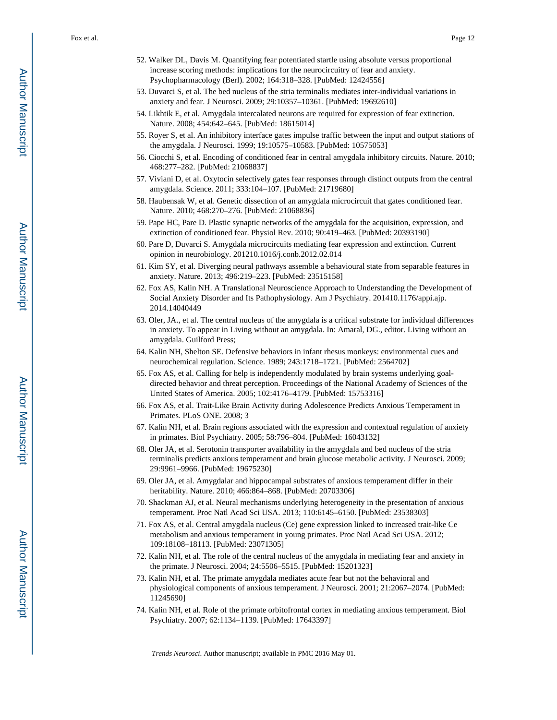- 52. Walker DL, Davis M. Quantifying fear potentiated startle using absolute versus proportional increase scoring methods: implications for the neurocircuitry of fear and anxiety. Psychopharmacology (Berl). 2002; 164:318–328. [PubMed: 12424556]
- 53. Duvarci S, et al. The bed nucleus of the stria terminalis mediates inter-individual variations in anxiety and fear. J Neurosci. 2009; 29:10357–10361. [PubMed: 19692610]
- 54. Likhtik E, et al. Amygdala intercalated neurons are required for expression of fear extinction. Nature. 2008; 454:642–645. [PubMed: 18615014]
- 55. Royer S, et al. An inhibitory interface gates impulse traffic between the input and output stations of the amygdala. J Neurosci. 1999; 19:10575–10583. [PubMed: 10575053]
- 56. Ciocchi S, et al. Encoding of conditioned fear in central amygdala inhibitory circuits. Nature. 2010; 468:277–282. [PubMed: 21068837]
- 57. Viviani D, et al. Oxytocin selectively gates fear responses through distinct outputs from the central amygdala. Science. 2011; 333:104–107. [PubMed: 21719680]
- 58. Haubensak W, et al. Genetic dissection of an amygdala microcircuit that gates conditioned fear. Nature. 2010; 468:270–276. [PubMed: 21068836]
- 59. Pape HC, Pare D. Plastic synaptic networks of the amygdala for the acquisition, expression, and extinction of conditioned fear. Physiol Rev. 2010; 90:419–463. [PubMed: 20393190]
- 60. Pare D, Duvarci S. Amygdala microcircuits mediating fear expression and extinction. Current opinion in neurobiology. 201210.1016/j.conb.2012.02.014
- 61. Kim SY, et al. Diverging neural pathways assemble a behavioural state from separable features in anxiety. Nature. 2013; 496:219–223. [PubMed: 23515158]
- 62. Fox AS, Kalin NH. A Translational Neuroscience Approach to Understanding the Development of Social Anxiety Disorder and Its Pathophysiology. Am J Psychiatry. 201410.1176/appi.ajp. 2014.14040449
- 63. Oler, JA., et al. The central nucleus of the amygdala is a critical substrate for individual differences in anxiety. To appear in Living without an amygdala. In: Amaral, DG., editor. Living without an amygdala. Guilford Press;
- 64. Kalin NH, Shelton SE. Defensive behaviors in infant rhesus monkeys: environmental cues and neurochemical regulation. Science. 1989; 243:1718–1721. [PubMed: 2564702]
- 65. Fox AS, et al. Calling for help is independently modulated by brain systems underlying goaldirected behavior and threat perception. Proceedings of the National Academy of Sciences of the United States of America. 2005; 102:4176–4179. [PubMed: 15753316]
- 66. Fox AS, et al. Trait-Like Brain Activity during Adolescence Predicts Anxious Temperament in Primates. PLoS ONE. 2008; 3
- 67. Kalin NH, et al. Brain regions associated with the expression and contextual regulation of anxiety in primates. Biol Psychiatry. 2005; 58:796–804. [PubMed: 16043132]
- 68. Oler JA, et al. Serotonin transporter availability in the amygdala and bed nucleus of the stria terminalis predicts anxious temperament and brain glucose metabolic activity. J Neurosci. 2009; 29:9961–9966. [PubMed: 19675230]
- 69. Oler JA, et al. Amygdalar and hippocampal substrates of anxious temperament differ in their heritability. Nature. 2010; 466:864–868. [PubMed: 20703306]
- 70. Shackman AJ, et al. Neural mechanisms underlying heterogeneity in the presentation of anxious temperament. Proc Natl Acad Sci USA. 2013; 110:6145–6150. [PubMed: 23538303]
- 71. Fox AS, et al. Central amygdala nucleus (Ce) gene expression linked to increased trait-like Ce metabolism and anxious temperament in young primates. Proc Natl Acad Sci USA. 2012; 109:18108–18113. [PubMed: 23071305]
- 72. Kalin NH, et al. The role of the central nucleus of the amygdala in mediating fear and anxiety in the primate. J Neurosci. 2004; 24:5506–5515. [PubMed: 15201323]
- 73. Kalin NH, et al. The primate amygdala mediates acute fear but not the behavioral and physiological components of anxious temperament. J Neurosci. 2001; 21:2067–2074. [PubMed: 11245690]
- 74. Kalin NH, et al. Role of the primate orbitofrontal cortex in mediating anxious temperament. Biol Psychiatry. 2007; 62:1134–1139. [PubMed: 17643397]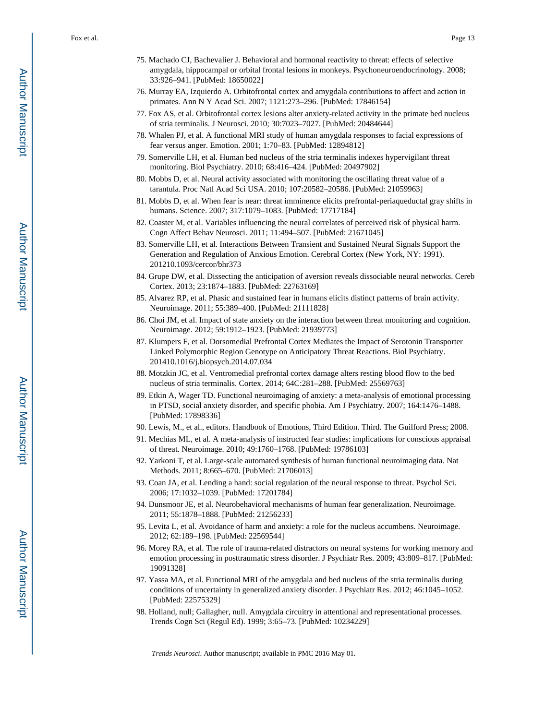- 75. Machado CJ, Bachevalier J. Behavioral and hormonal reactivity to threat: effects of selective amygdala, hippocampal or orbital frontal lesions in monkeys. Psychoneuroendocrinology. 2008; 33:926–941. [PubMed: 18650022]
- 76. Murray EA, Izquierdo A. Orbitofrontal cortex and amygdala contributions to affect and action in primates. Ann N Y Acad Sci. 2007; 1121:273–296. [PubMed: 17846154]
- 77. Fox AS, et al. Orbitofrontal cortex lesions alter anxiety-related activity in the primate bed nucleus of stria terminalis. J Neurosci. 2010; 30:7023–7027. [PubMed: 20484644]
- 78. Whalen PJ, et al. A functional MRI study of human amygdala responses to facial expressions of fear versus anger. Emotion. 2001; 1:70–83. [PubMed: 12894812]
- 79. Somerville LH, et al. Human bed nucleus of the stria terminalis indexes hypervigilant threat monitoring. Biol Psychiatry. 2010; 68:416–424. [PubMed: 20497902]
- 80. Mobbs D, et al. Neural activity associated with monitoring the oscillating threat value of a tarantula. Proc Natl Acad Sci USA. 2010; 107:20582–20586. [PubMed: 21059963]
- 81. Mobbs D, et al. When fear is near: threat imminence elicits prefrontal-periaqueductal gray shifts in humans. Science. 2007; 317:1079–1083. [PubMed: 17717184]
- 82. Coaster M, et al. Variables influencing the neural correlates of perceived risk of physical harm. Cogn Affect Behav Neurosci. 2011; 11:494–507. [PubMed: 21671045]
- 83. Somerville LH, et al. Interactions Between Transient and Sustained Neural Signals Support the Generation and Regulation of Anxious Emotion. Cerebral Cortex (New York, NY: 1991). 201210.1093/cercor/bhr373
- 84. Grupe DW, et al. Dissecting the anticipation of aversion reveals dissociable neural networks. Cereb Cortex. 2013; 23:1874–1883. [PubMed: 22763169]
- 85. Alvarez RP, et al. Phasic and sustained fear in humans elicits distinct patterns of brain activity. Neuroimage. 2011; 55:389–400. [PubMed: 21111828]
- 86. Choi JM, et al. Impact of state anxiety on the interaction between threat monitoring and cognition. Neuroimage. 2012; 59:1912–1923. [PubMed: 21939773]
- 87. Klumpers F, et al. Dorsomedial Prefrontal Cortex Mediates the Impact of Serotonin Transporter Linked Polymorphic Region Genotype on Anticipatory Threat Reactions. Biol Psychiatry. 201410.1016/j.biopsych.2014.07.034
- 88. Motzkin JC, et al. Ventromedial prefrontal cortex damage alters resting blood flow to the bed nucleus of stria terminalis. Cortex. 2014; 64C:281–288. [PubMed: 25569763]
- 89. Etkin A, Wager TD. Functional neuroimaging of anxiety: a meta-analysis of emotional processing in PTSD, social anxiety disorder, and specific phobia. Am J Psychiatry. 2007; 164:1476–1488. [PubMed: 17898336]
- 90. Lewis, M., et al., editors. Handbook of Emotions, Third Edition. Third. The Guilford Press; 2008.
- 91. Mechias ML, et al. A meta-analysis of instructed fear studies: implications for conscious appraisal of threat. Neuroimage. 2010; 49:1760–1768. [PubMed: 19786103]
- 92. Yarkoni T, et al. Large-scale automated synthesis of human functional neuroimaging data. Nat Methods. 2011; 8:665–670. [PubMed: 21706013]
- 93. Coan JA, et al. Lending a hand: social regulation of the neural response to threat. Psychol Sci. 2006; 17:1032–1039. [PubMed: 17201784]
- 94. Dunsmoor JE, et al. Neurobehavioral mechanisms of human fear generalization. Neuroimage. 2011; 55:1878–1888. [PubMed: 21256233]
- 95. Levita L, et al. Avoidance of harm and anxiety: a role for the nucleus accumbens. Neuroimage. 2012; 62:189–198. [PubMed: 22569544]
- 96. Morey RA, et al. The role of trauma-related distractors on neural systems for working memory and emotion processing in posttraumatic stress disorder. J Psychiatr Res. 2009; 43:809–817. [PubMed: 19091328]
- 97. Yassa MA, et al. Functional MRI of the amygdala and bed nucleus of the stria terminalis during conditions of uncertainty in generalized anxiety disorder. J Psychiatr Res. 2012; 46:1045–1052. [PubMed: 22575329]
- 98. Holland, null; Gallagher, null. Amygdala circuitry in attentional and representational processes. Trends Cogn Sci (Regul Ed). 1999; 3:65–73. [PubMed: 10234229]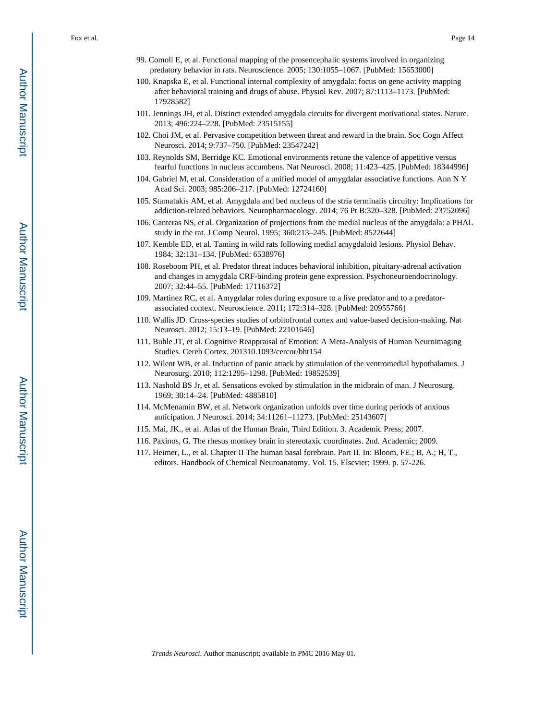- 99. Comoli E, et al. Functional mapping of the prosencephalic systems involved in organizing predatory behavior in rats. Neuroscience. 2005; 130:1055–1067. [PubMed: 15653000]
- 100. Knapska E, et al. Functional internal complexity of amygdala: focus on gene activity mapping after behavioral training and drugs of abuse. Physiol Rev. 2007; 87:1113–1173. [PubMed: 17928582]
- 101. Jennings JH, et al. Distinct extended amygdala circuits for divergent motivational states. Nature. 2013; 496:224–228. [PubMed: 23515155]
- 102. Choi JM, et al. Pervasive competition between threat and reward in the brain. Soc Cogn Affect Neurosci. 2014; 9:737–750. [PubMed: 23547242]
- 103. Reynolds SM, Berridge KC. Emotional environments retune the valence of appetitive versus fearful functions in nucleus accumbens. Nat Neurosci. 2008; 11:423–425. [PubMed: 18344996]
- 104. Gabriel M, et al. Consideration of a unified model of amygdalar associative functions. Ann N Y Acad Sci. 2003; 985:206–217. [PubMed: 12724160]
- 105. Stamatakis AM, et al. Amygdala and bed nucleus of the stria terminalis circuitry: Implications for addiction-related behaviors. Neuropharmacology. 2014; 76 Pt B:320–328. [PubMed: 23752096]
- 106. Canteras NS, et al. Organization of projections from the medial nucleus of the amygdala: a PHAL study in the rat. J Comp Neurol. 1995; 360:213–245. [PubMed: 8522644]
- 107. Kemble ED, et al. Taming in wild rats following medial amygdaloid lesions. Physiol Behav. 1984; 32:131–134. [PubMed: 6538976]
- 108. Roseboom PH, et al. Predator threat induces behavioral inhibition, pituitary-adrenal activation and changes in amygdala CRF-binding protein gene expression. Psychoneuroendocrinology. 2007; 32:44–55. [PubMed: 17116372]
- 109. Martinez RC, et al. Amygdalar roles during exposure to a live predator and to a predatorassociated context. Neuroscience. 2011; 172:314–328. [PubMed: 20955766]
- 110. Wallis JD. Cross-species studies of orbitofrontal cortex and value-based decision-making. Nat Neurosci. 2012; 15:13–19. [PubMed: 22101646]
- 111. Buhle JT, et al. Cognitive Reappraisal of Emotion: A Meta-Analysis of Human Neuroimaging Studies. Cereb Cortex. 201310.1093/cercor/bht154
- 112. Wilent WB, et al. Induction of panic attack by stimulation of the ventromedial hypothalamus. J Neurosurg. 2010; 112:1295–1298. [PubMed: 19852539]
- 113. Nashold BS Jr, et al. Sensations evoked by stimulation in the midbrain of man. J Neurosurg. 1969; 30:14–24. [PubMed: 4885810]
- 114. McMenamin BW, et al. Network organization unfolds over time during periods of anxious anticipation. J Neurosci. 2014; 34:11261–11273. [PubMed: 25143607]
- 115. Mai, JK., et al. Atlas of the Human Brain, Third Edition. 3. Academic Press; 2007.
- 116. Paxinos, G. The rhesus monkey brain in stereotaxic coordinates. 2nd. Academic; 2009.
- 117. Heimer, L., et al. Chapter II The human basal forebrain. Part II. In: Bloom, FE.; B, A.; H, T., editors. Handbook of Chemical Neuroanatomy. Vol. 15. Elsevier; 1999. p. 57-226.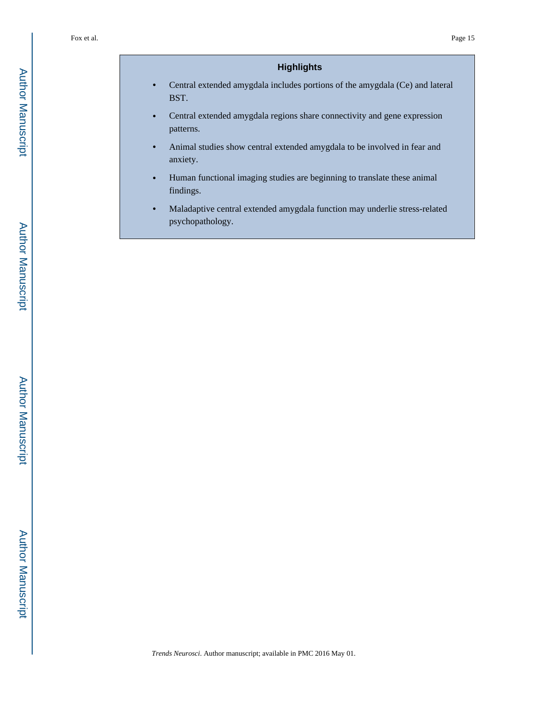# **Highlights**

- **•** Central extended amygdala includes portions of the amygdala (Ce) and lateral BST.
- **•** Central extended amygdala regions share connectivity and gene expression patterns.
- **•** Animal studies show central extended amygdala to be involved in fear and anxiety.
- **•** Human functional imaging studies are beginning to translate these animal findings.
- **•** Maladaptive central extended amygdala function may underlie stress-related psychopathology.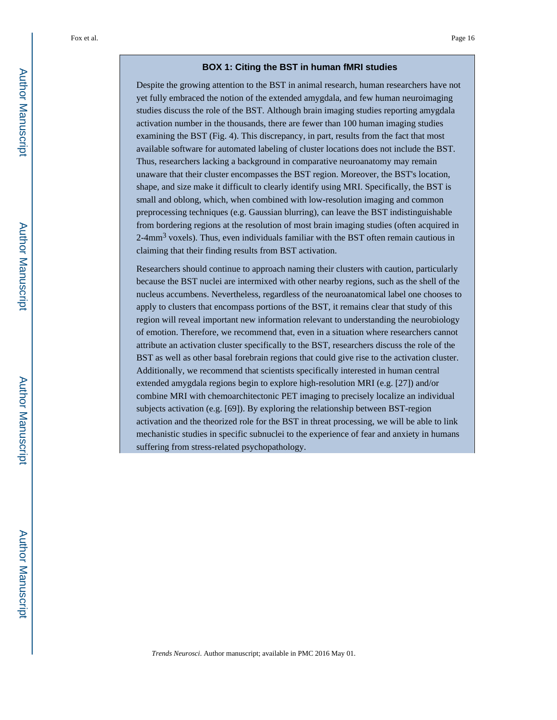#### **BOX 1: Citing the BST in human fMRI studies**

Despite the growing attention to the BST in animal research, human researchers have not yet fully embraced the notion of the extended amygdala, and few human neuroimaging studies discuss the role of the BST. Although brain imaging studies reporting amygdala activation number in the thousands, there are fewer than 100 human imaging studies examining the BST (Fig. 4). This discrepancy, in part, results from the fact that most available software for automated labeling of cluster locations does not include the BST. Thus, researchers lacking a background in comparative neuroanatomy may remain unaware that their cluster encompasses the BST region. Moreover, the BST's location, shape, and size make it difficult to clearly identify using MRI. Specifically, the BST is small and oblong, which, when combined with low-resolution imaging and common preprocessing techniques (e.g. Gaussian blurring), can leave the BST indistinguishable from bordering regions at the resolution of most brain imaging studies (often acquired in 2-4mm<sup>3</sup> voxels). Thus, even individuals familiar with the BST often remain cautious in claiming that their finding results from BST activation.

Researchers should continue to approach naming their clusters with caution, particularly because the BST nuclei are intermixed with other nearby regions, such as the shell of the nucleus accumbens. Nevertheless, regardless of the neuroanatomical label one chooses to apply to clusters that encompass portions of the BST, it remains clear that study of this region will reveal important new information relevant to understanding the neurobiology of emotion. Therefore, we recommend that, even in a situation where researchers cannot attribute an activation cluster specifically to the BST, researchers discuss the role of the BST as well as other basal forebrain regions that could give rise to the activation cluster. Additionally, we recommend that scientists specifically interested in human central extended amygdala regions begin to explore high-resolution MRI (e.g. [27]) and/or combine MRI with chemoarchitectonic PET imaging to precisely localize an individual subjects activation (e.g. [69]). By exploring the relationship between BST-region activation and the theorized role for the BST in threat processing, we will be able to link mechanistic studies in specific subnuclei to the experience of fear and anxiety in humans suffering from stress-related psychopathology.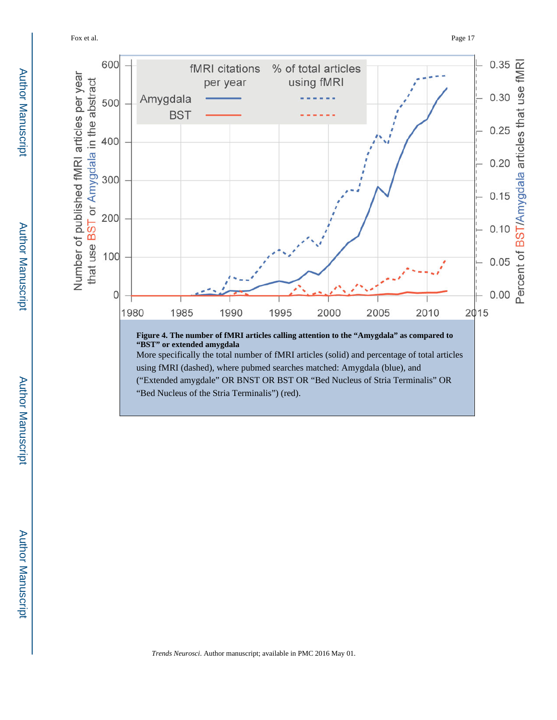Fox et al. Page 17

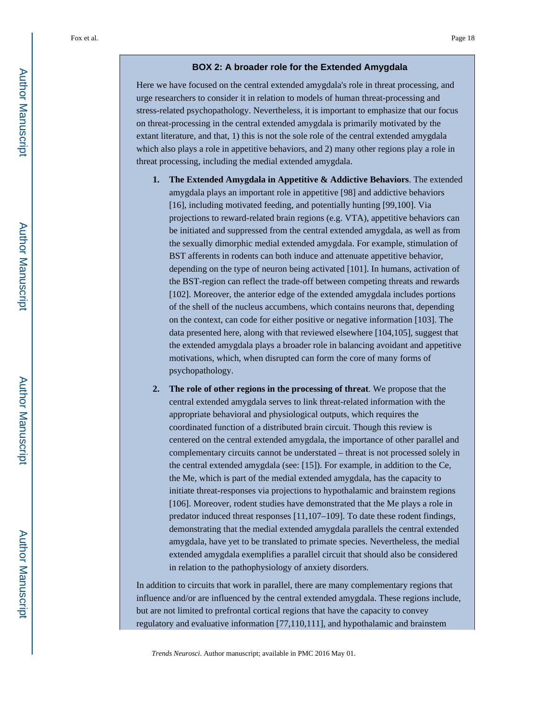#### **BOX 2: A broader role for the Extended Amygdala**

Here we have focused on the central extended amygdala's role in threat processing, and urge researchers to consider it in relation to models of human threat-processing and stress-related psychopathology. Nevertheless, it is important to emphasize that our focus on threat-processing in the central extended amygdala is primarily motivated by the extant literature, and that, 1) this is not the sole role of the central extended amygdala which also plays a role in appetitive behaviors, and 2) many other regions play a role in threat processing, including the medial extended amygdala.

- **1. The Extended Amygdala in Appetitive & Addictive Behaviors**. The extended amygdala plays an important role in appetitive [98] and addictive behaviors [16], including motivated feeding, and potentially hunting [99,100]. Via projections to reward-related brain regions (e.g. VTA), appetitive behaviors can be initiated and suppressed from the central extended amygdala, as well as from the sexually dimorphic medial extended amygdala. For example, stimulation of BST afferents in rodents can both induce and attenuate appetitive behavior, depending on the type of neuron being activated [101]. In humans, activation of the BST-region can reflect the trade-off between competing threats and rewards [102]. Moreover, the anterior edge of the extended amygdala includes portions of the shell of the nucleus accumbens, which contains neurons that, depending on the context, can code for either positive or negative information [103]. The data presented here, along with that reviewed elsewhere [104,105], suggest that the extended amygdala plays a broader role in balancing avoidant and appetitive motivations, which, when disrupted can form the core of many forms of psychopathology.
- **2. The role of other regions in the processing of threat**. We propose that the central extended amygdala serves to link threat-related information with the appropriate behavioral and physiological outputs, which requires the coordinated function of a distributed brain circuit. Though this review is centered on the central extended amygdala, the importance of other parallel and complementary circuits cannot be understated – threat is not processed solely in the central extended amygdala (see: [15]). For example, in addition to the Ce, the Me, which is part of the medial extended amygdala, has the capacity to initiate threat-responses via projections to hypothalamic and brainstem regions [106]. Moreover, rodent studies have demonstrated that the Me plays a role in predator induced threat responses [11,107–109]. To date these rodent findings, demonstrating that the medial extended amygdala parallels the central extended amygdala, have yet to be translated to primate species. Nevertheless, the medial extended amygdala exemplifies a parallel circuit that should also be considered in relation to the pathophysiology of anxiety disorders.

In addition to circuits that work in parallel, there are many complementary regions that influence and/or are influenced by the central extended amygdala. These regions include, but are not limited to prefrontal cortical regions that have the capacity to convey regulatory and evaluative information [77,110,111], and hypothalamic and brainstem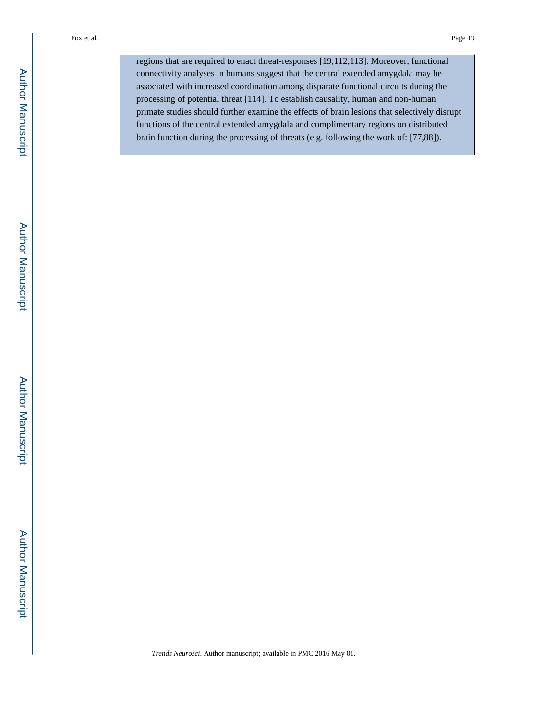regions that are required to enact threat-responses [19,112,113]. Moreover, functional connectivity analyses in humans suggest that the central extended amygdala may be associated with increased coordination among disparate functional circuits during the processing of potential threat [114]. To establish causality, human and non-human primate studies should further examine the effects of brain lesions that selectively disrupt functions of the central extended amygdala and complimentary regions on distributed brain function during the processing of threats (e.g. following the work of: [77,88]).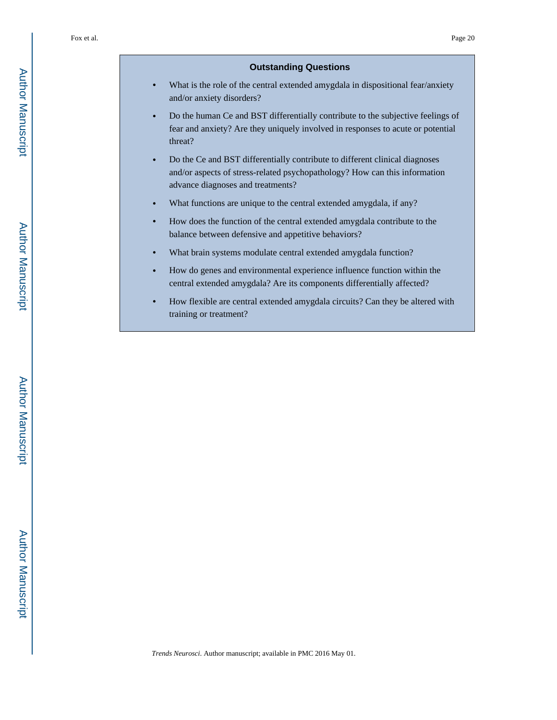#### **Outstanding Questions**

- **•** What is the role of the central extended amygdala in dispositional fear/anxiety and/or anxiety disorders?
- **•** Do the human Ce and BST differentially contribute to the subjective feelings of fear and anxiety? Are they uniquely involved in responses to acute or potential threat?
- **•** Do the Ce and BST differentially contribute to different clinical diagnoses and/or aspects of stress-related psychopathology? How can this information advance diagnoses and treatments?
- What functions are unique to the central extended amygdala, if any?
- **•** How does the function of the central extended amygdala contribute to the balance between defensive and appetitive behaviors?
- **•** What brain systems modulate central extended amygdala function?
- **•** How do genes and environmental experience influence function within the central extended amygdala? Are its components differentially affected?
- **•** How flexible are central extended amygdala circuits? Can they be altered with training or treatment?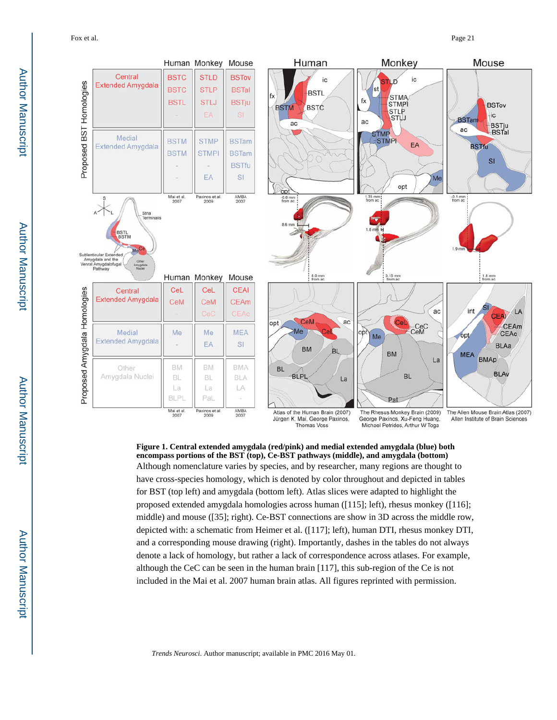Fox et al. Page 21



**Figure 1. Central extended amygdala (red/pink) and medial extended amygdala (blue) both encompass portions of the BST (top), Ce-BST pathways (middle), and amygdala (bottom)** Although nomenclature varies by species, and by researcher, many regions are thought to have cross-species homology, which is denoted by color throughout and depicted in tables for BST (top left) and amygdala (bottom left). Atlas slices were adapted to highlight the proposed extended amygdala homologies across human ([115]; left), rhesus monkey ([116]; middle) and mouse ([35]; right). Ce-BST connections are show in 3D across the middle row, depicted with: a schematic from Heimer et al. ([117]; left), human DTI, rhesus monkey DTI, and a corresponding mouse drawing (right). Importantly, dashes in the tables do not always denote a lack of homology, but rather a lack of correspondence across atlases. For example, although the CeC can be seen in the human brain [117], this sub-region of the Ce is not included in the Mai et al. 2007 human brain atlas. All figures reprinted with permission.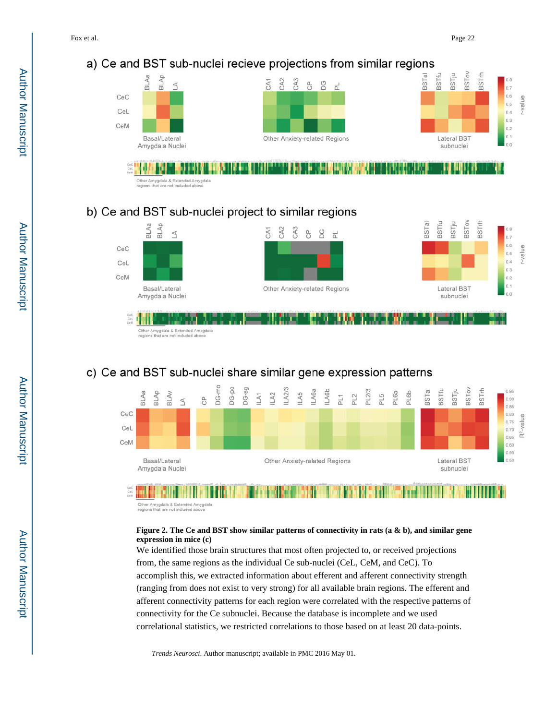# a) Ce and BST sub-nuclei recieve projections from similar regions



DI HERIO EN MULT -<br>Other Amygdala & Extended Amygdala<br>regions that are not included above

# b) Ce and BST sub-nuclei project to similar regions



# c) Ce and BST sub-nuclei share similar gene expression patterns



Other Amygdala & Extended Amygdala<br>regions that are not included above

### **Figure 2. The Ce and BST show similar patterns of connectivity in rats (a & b), and similar gene expression in mice (c)**

We identified those brain structures that most often projected to, or received projections from, the same regions as the individual Ce sub-nuclei (CeL, CeM, and CeC). To accomplish this, we extracted information about efferent and afferent connectivity strength (ranging from does not exist to very strong) for all available brain regions. The efferent and afferent connectivity patterns for each region were correlated with the respective patterns of connectivity for the Ce subnuclei. Because the database is incomplete and we used correlational statistics, we restricted correlations to those based on at least 20 data-points.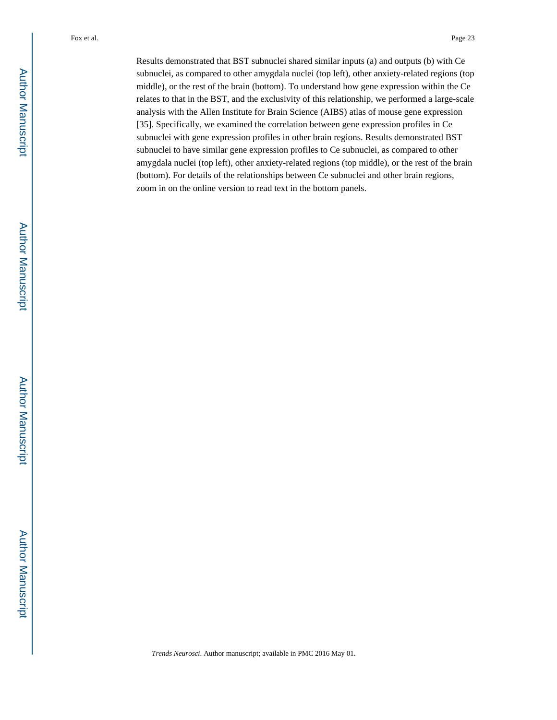Results demonstrated that BST subnuclei shared similar inputs (a) and outputs (b) with Ce subnuclei, as compared to other amygdala nuclei (top left), other anxiety-related regions (top middle), or the rest of the brain (bottom). To understand how gene expression within the Ce relates to that in the BST, and the exclusivity of this relationship, we performed a large-scale analysis with the Allen Institute for Brain Science (AIBS) atlas of mouse gene expression [35]. Specifically, we examined the correlation between gene expression profiles in Ce subnuclei with gene expression profiles in other brain regions. Results demonstrated BST subnuclei to have similar gene expression profiles to Ce subnuclei, as compared to other amygdala nuclei (top left), other anxiety-related regions (top middle), or the rest of the brain (bottom). For details of the relationships between Ce subnuclei and other brain regions, zoom in on the online version to read text in the bottom panels.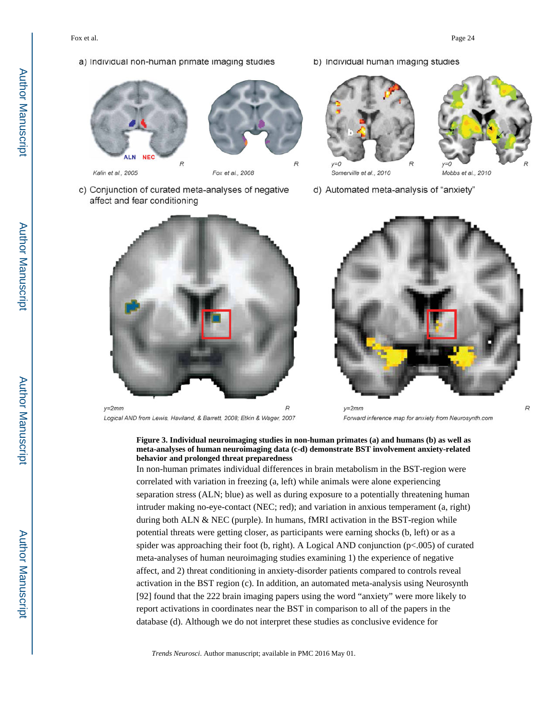#### a) Individual non-human primate imaging studies







Fox et al., 2008

- c) Conjunction of curated meta-analyses of negative affect and fear conditioning
	-
	- $y=2mm$ Logical AND from Lewis, Haviland, & Barrett, 2008; Etkin & Wager, 2007

b) Individual human imaging studies



Somerville et al., 2010



Mobbs et al., 2010

d) Automated meta-analysis of "anxiety"



 $v = 2mm$ Forward inference map for anxiety from Neurosynth.com

### **Figure 3. Individual neuroimaging studies in non-human primates (a) and humans (b) as well as meta-analyses of human neuroimaging data (c-d) demonstrate BST involvement anxiety-related behavior and prolonged threat preparedness**

In non-human primates individual differences in brain metabolism in the BST-region were correlated with variation in freezing (a, left) while animals were alone experiencing separation stress (ALN; blue) as well as during exposure to a potentially threatening human intruder making no-eye-contact (NEC; red); and variation in anxious temperament (a, right) during both ALN & NEC (purple). In humans, fMRI activation in the BST-region while potential threats were getting closer, as participants were earning shocks (b, left) or as a spider was approaching their foot (b, right). A Logical AND conjunction (p<.005) of curated meta-analyses of human neuroimaging studies examining 1) the experience of negative affect, and 2) threat conditioning in anxiety-disorder patients compared to controls reveal activation in the BST region (c). In addition, an automated meta-analysis using Neurosynth [92] found that the 222 brain imaging papers using the word "anxiety" were more likely to report activations in coordinates near the BST in comparison to all of the papers in the database (d). Although we do not interpret these studies as conclusive evidence for